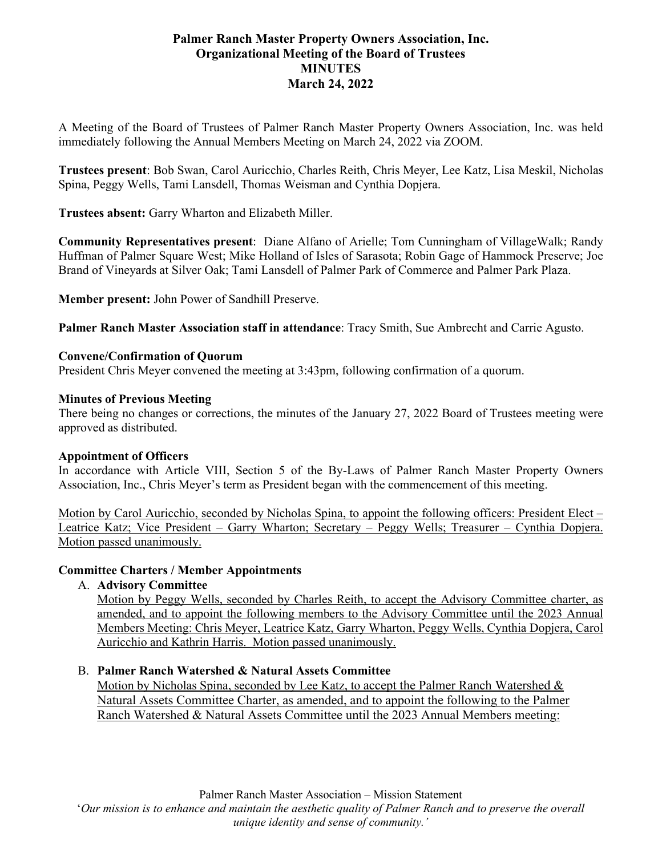# **Palmer Ranch Master Property Owners Association, Inc. Organizational Meeting of the Board of Trustees MINUTES March 24, 2022**

A Meeting of the Board of Trustees of Palmer Ranch Master Property Owners Association, Inc. was held immediately following the Annual Members Meeting on March 24, 2022 via ZOOM.

**Trustees present**: Bob Swan, Carol Auricchio, Charles Reith, Chris Meyer, Lee Katz, Lisa Meskil, Nicholas Spina, Peggy Wells, Tami Lansdell, Thomas Weisman and Cynthia Dopjera.

**Trustees absent:** Garry Wharton and Elizabeth Miller.

**Community Representatives present**: Diane Alfano of Arielle; Tom Cunningham of VillageWalk; Randy Huffman of Palmer Square West; Mike Holland of Isles of Sarasota; Robin Gage of Hammock Preserve; Joe Brand of Vineyards at Silver Oak; Tami Lansdell of Palmer Park of Commerce and Palmer Park Plaza.

**Member present:** John Power of Sandhill Preserve.

**Palmer Ranch Master Association staff in attendance**: Tracy Smith, Sue Ambrecht and Carrie Agusto.

## **Convene/Confirmation of Quorum**

President Chris Meyer convened the meeting at 3:43pm, following confirmation of a quorum.

### **Minutes of Previous Meeting**

There being no changes or corrections, the minutes of the January 27, 2022 Board of Trustees meeting were approved as distributed.

#### **Appointment of Officers**

In accordance with Article VIII, Section 5 of the By-Laws of Palmer Ranch Master Property Owners Association, Inc., Chris Meyer's term as President began with the commencement of this meeting.

Motion by Carol Auricchio, seconded by Nicholas Spina, to appoint the following officers: President Elect – Leatrice Katz; Vice President – Garry Wharton; Secretary – Peggy Wells; Treasurer – Cynthia Dopjera. Motion passed unanimously.

## **Committee Charters / Member Appointments**

A. **Advisory Committee**

Motion by Peggy Wells, seconded by Charles Reith, to accept the Advisory Committee charter, as amended, and to appoint the following members to the Advisory Committee until the 2023 Annual Members Meeting: Chris Meyer, Leatrice Katz, Garry Wharton, Peggy Wells, Cynthia Dopjera, Carol Auricchio and Kathrin Harris. Motion passed unanimously.

#### B. **Palmer Ranch Watershed & Natural Assets Committee**

Motion by Nicholas Spina, seconded by Lee Katz, to accept the Palmer Ranch Watershed  $\&$ Natural Assets Committee Charter, as amended, and to appoint the following to the Palmer Ranch Watershed & Natural Assets Committee until the 2023 Annual Members meeting:

'*Our mission is to enhance and maintain the aesthetic quality of Palmer Ranch and to preserve the overall unique identity and sense of community.'*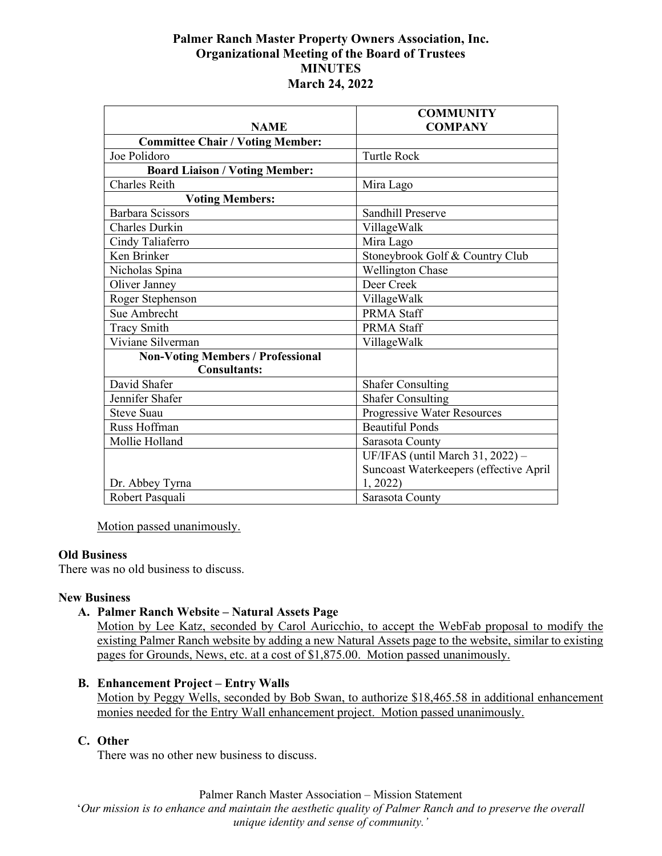## **Palmer Ranch Master Property Owners Association, Inc. Organizational Meeting of the Board of Trustees MINUTES March 24, 2022**

|                                          | <b>COMMUNITY</b>                       |
|------------------------------------------|----------------------------------------|
| <b>NAME</b>                              | <b>COMPANY</b>                         |
| <b>Committee Chair / Voting Member:</b>  |                                        |
| Joe Polidoro                             | <b>Turtle Rock</b>                     |
| <b>Board Liaison / Voting Member:</b>    |                                        |
| <b>Charles Reith</b>                     | Mira Lago                              |
| <b>Voting Members:</b>                   |                                        |
| <b>Barbara Scissors</b>                  | Sandhill Preserve                      |
| <b>Charles Durkin</b>                    | VillageWalk                            |
| Cindy Taliaferro                         | Mira Lago                              |
| Ken Brinker                              | Stoneybrook Golf & Country Club        |
| Nicholas Spina                           | <b>Wellington Chase</b>                |
| Oliver Janney                            | Deer Creek                             |
| Roger Stephenson                         | VillageWalk                            |
| Sue Ambrecht                             | <b>PRMA Staff</b>                      |
| <b>Tracy Smith</b>                       | <b>PRMA Staff</b>                      |
| Viviane Silverman                        | VillageWalk                            |
| <b>Non-Voting Members / Professional</b> |                                        |
| <b>Consultants:</b>                      |                                        |
| David Shafer                             | <b>Shafer Consulting</b>               |
| Jennifer Shafer                          | <b>Shafer Consulting</b>               |
| <b>Steve Suau</b>                        | Progressive Water Resources            |
| Russ Hoffman                             | <b>Beautiful Ponds</b>                 |
| Mollie Holland                           | Sarasota County                        |
|                                          | UF/IFAS (until March 31, 2022) -       |
|                                          | Suncoast Waterkeepers (effective April |
| Dr. Abbey Tyrna                          | 1, 2022                                |
| Robert Pasquali                          | Sarasota County                        |

Motion passed unanimously.

### **Old Business**

There was no old business to discuss.

#### **New Business**

### **A. Palmer Ranch Website – Natural Assets Page**

Motion by Lee Katz, seconded by Carol Auricchio, to accept the WebFab proposal to modify the existing Palmer Ranch website by adding a new Natural Assets page to the website, similar to existing pages for Grounds, News, etc. at a cost of \$1,875.00. Motion passed unanimously.

### **B. Enhancement Project – Entry Walls**

Motion by Peggy Wells, seconded by Bob Swan, to authorize \$18,465.58 in additional enhancement monies needed for the Entry Wall enhancement project. Motion passed unanimously.

## **C. Other**

There was no other new business to discuss.

Palmer Ranch Master Association – Mission Statement

'*Our mission is to enhance and maintain the aesthetic quality of Palmer Ranch and to preserve the overall unique identity and sense of community.'*